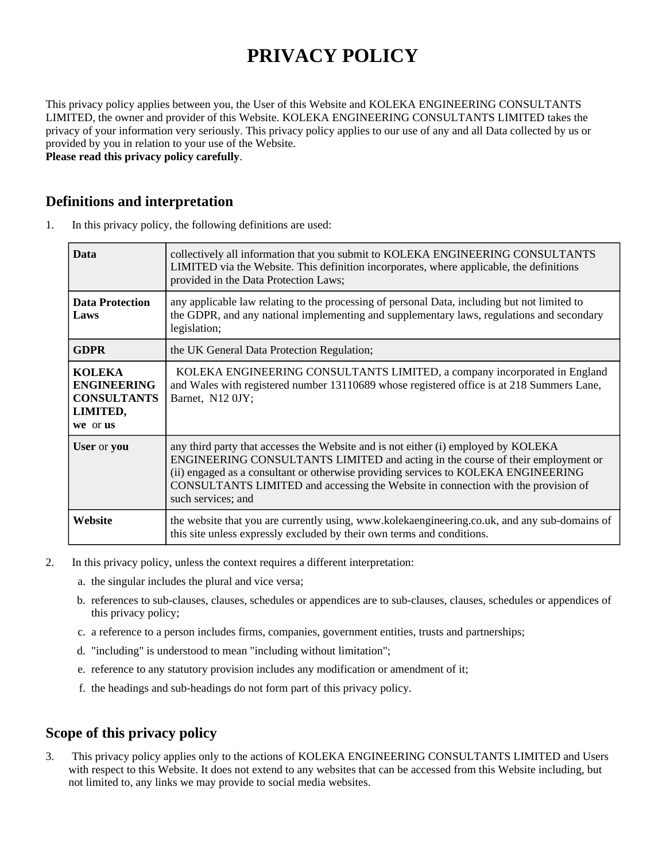# **PRIVACY POLICY**

This privacy policy applies between you, the User of this Website and KOLEKA ENGINEERING CONSULTANTS LIMITED, the owner and provider of this Website. KOLEKA ENGINEERING CONSULTANTS LIMITED takes the privacy of your information very seriously. This privacy policy applies to our use of any and all Data collected by us or provided by you in relation to your use of the Website.

**Please read this privacy policy carefully**.

## **Definitions and interpretation**

1. In this privacy policy, the following definitions are used:

| <b>Data</b>                                                                       | collectively all information that you submit to KOLEKA ENGINEERING CONSULTANTS<br>LIMITED via the Website. This definition incorporates, where applicable, the definitions<br>provided in the Data Protection Laws;                                                                                                                                                    |
|-----------------------------------------------------------------------------------|------------------------------------------------------------------------------------------------------------------------------------------------------------------------------------------------------------------------------------------------------------------------------------------------------------------------------------------------------------------------|
| <b>Data Protection</b><br>Laws                                                    | any applicable law relating to the processing of personal Data, including but not limited to<br>the GDPR, and any national implementing and supplementary laws, regulations and secondary<br>legislation;                                                                                                                                                              |
| <b>GDPR</b>                                                                       | the UK General Data Protection Regulation;                                                                                                                                                                                                                                                                                                                             |
| <b>KOLEKA</b><br><b>ENGINEERING</b><br><b>CONSULTANTS</b><br>LIMITED,<br>we or us | KOLEKA ENGINEERING CONSULTANTS LIMITED, a company incorporated in England<br>and Wales with registered number 13110689 whose registered office is at 218 Summers Lane,<br>Barnet, N12 0JY;                                                                                                                                                                             |
| User or you                                                                       | any third party that accesses the Website and is not either (i) employed by KOLEKA<br>ENGINEERING CONSULTANTS LIMITED and acting in the course of their employment or<br>(ii) engaged as a consultant or otherwise providing services to KOLEKA ENGINEERING<br>CONSULTANTS LIMITED and accessing the Website in connection with the provision of<br>such services; and |
| Website                                                                           | the website that you are currently using, www.kolekaengineering.co.uk, and any sub-domains of<br>this site unless expressly excluded by their own terms and conditions.                                                                                                                                                                                                |

- 2. In this privacy policy, unless the context requires a different interpretation:
	- a. the singular includes the plural and vice versa;
	- b. references to sub-clauses, clauses, schedules or appendices are to sub-clauses, clauses, schedules or appendices of this privacy policy;
	- c. a reference to a person includes firms, companies, government entities, trusts and partnerships;
	- d. "including" is understood to mean "including without limitation";
	- e. reference to any statutory provision includes any modification or amendment of it;
	- f. the headings and sub-headings do not form part of this privacy policy.

## **Scope of this privacy policy**

3. This privacy policy applies only to the actions of KOLEKA ENGINEERING CONSULTANTS LIMITED and Users with respect to this Website. It does not extend to any websites that can be accessed from this Website including, but not limited to, any links we may provide to social media websites.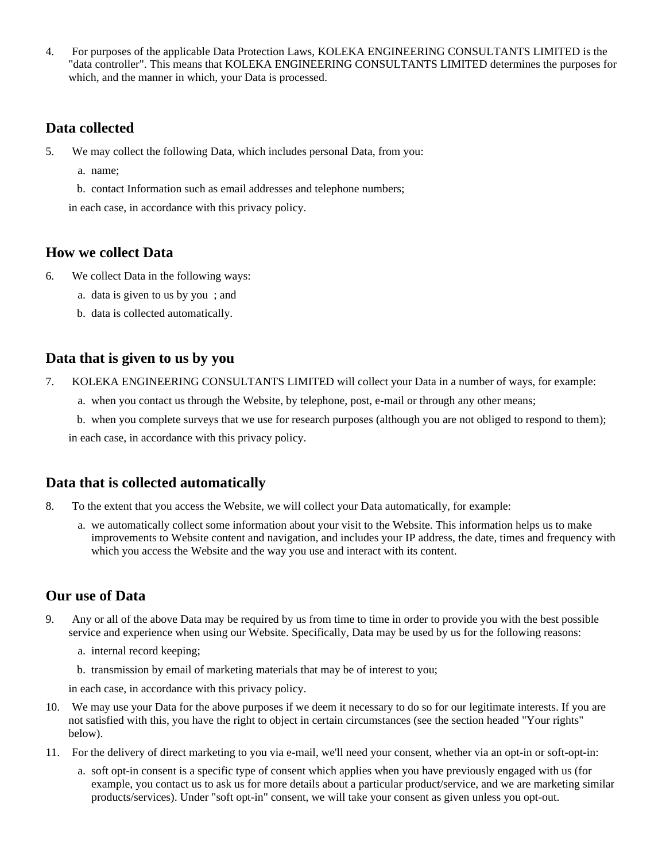4. For purposes of the applicable Data Protection Laws, KOLEKA ENGINEERING CONSULTANTS LIMITED is the "data controller". This means that KOLEKA ENGINEERING CONSULTANTS LIMITED determines the purposes for which, and the manner in which, your Data is processed.

## **Data collected**

- 5. We may collect the following Data, which includes personal Data, from you:
	- a. name;
	- b. contact Information such as email addresses and telephone numbers;

in each case, in accordance with this privacy policy.

## **How we collect Data**

- 6. We collect Data in the following ways:
	- a. data is given to us by you ; and
	- b. data is collected automatically.

#### **Data that is given to us by you**

- 7. KOLEKA ENGINEERING CONSULTANTS LIMITED will collect your Data in a number of ways, for example:
	- a. when you contact us through the Website, by telephone, post, e-mail or through any other means;
	- b. when you complete surveys that we use for research purposes (although you are not obliged to respond to them);

in each case, in accordance with this privacy policy.

#### **Data that is collected automatically**

- 8. To the extent that you access the Website, we will collect your Data automatically, for example:
	- a. we automatically collect some information about your visit to the Website. This information helps us to make improvements to Website content and navigation, and includes your IP address, the date, times and frequency with which you access the Website and the way you use and interact with its content.

#### **Our use of Data**

- 9. Any or all of the above Data may be required by us from time to time in order to provide you with the best possible service and experience when using our Website. Specifically, Data may be used by us for the following reasons:
	- a. internal record keeping;
	- b. transmission by email of marketing materials that may be of interest to you;

in each case, in accordance with this privacy policy.

- 10. We may use your Data for the above purposes if we deem it necessary to do so for our legitimate interests. If you are not satisfied with this, you have the right to object in certain circumstances (see the section headed "Your rights" below).
- 11. For the delivery of direct marketing to you via e-mail, we'll need your consent, whether via an opt-in or soft-opt-in:
	- a. soft opt-in consent is a specific type of consent which applies when you have previously engaged with us (for example, you contact us to ask us for more details about a particular product/service, and we are marketing similar products/services). Under "soft opt-in" consent, we will take your consent as given unless you opt-out.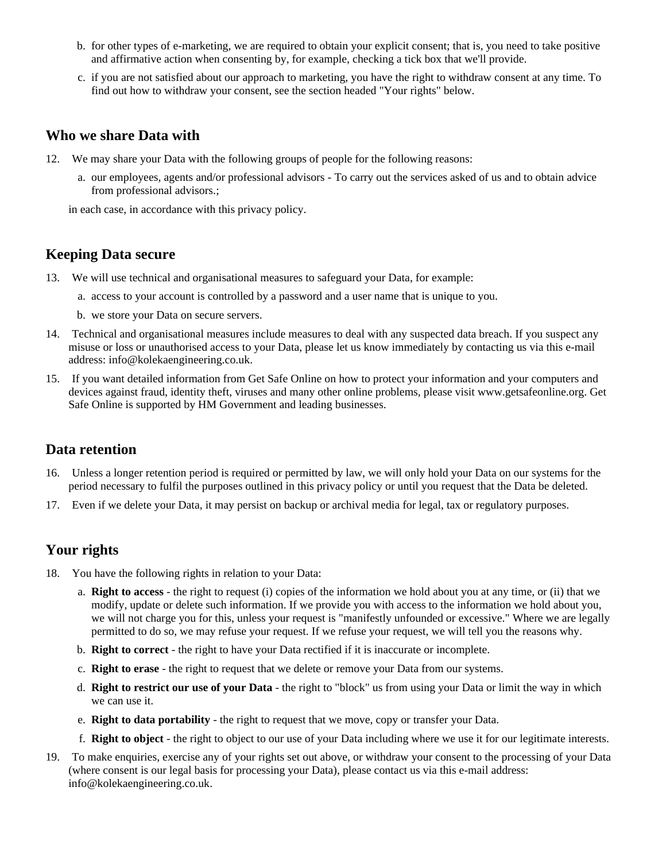- b. for other types of e-marketing, we are required to obtain your explicit consent; that is, you need to take positive and affirmative action when consenting by, for example, checking a tick box that we'll provide.
- c. if you are not satisfied about our approach to marketing, you have the right to withdraw consent at any time. To find out how to withdraw your consent, see the section headed "Your rights" below.

### **Who we share Data with**

- 12. We may share your Data with the following groups of people for the following reasons:
	- a. our employees, agents and/or professional advisors To carry out the services asked of us and to obtain advice from professional advisors.;

in each case, in accordance with this privacy policy.

## **Keeping Data secure**

- 13. We will use technical and organisational measures to safeguard your Data, for example:
	- a. access to your account is controlled by a password and a user name that is unique to you.
	- b. we store your Data on secure servers.
- 14. Technical and organisational measures include measures to deal with any suspected data breach. If you suspect any misuse or loss or unauthorised access to your Data, please let us know immediately by contacting us via this e-mail address: info@kolekaengineering.co.uk.
- 15. If you want detailed information from Get Safe Online on how to protect your information and your computers and devices against fraud, identity theft, viruses and many other online problems, please visit www.getsafeonline.org. Get Safe Online is supported by HM Government and leading businesses.

#### **Data retention**

- 16. Unless a longer retention period is required or permitted by law, we will only hold your Data on our systems for the period necessary to fulfil the purposes outlined in this privacy policy or until you request that the Data be deleted.
- 17. Even if we delete your Data, it may persist on backup or archival media for legal, tax or regulatory purposes.

# **Your rights**

- 18. You have the following rights in relation to your Data:
	- a. **Right to access** the right to request (i) copies of the information we hold about you at any time, or (ii) that we modify, update or delete such information. If we provide you with access to the information we hold about you, we will not charge you for this, unless your request is "manifestly unfounded or excessive." Where we are legally permitted to do so, we may refuse your request. If we refuse your request, we will tell you the reasons why.
	- b. **Right to correct** the right to have your Data rectified if it is inaccurate or incomplete.
	- c. **Right to erase** the right to request that we delete or remove your Data from our systems.
	- d. **Right to restrict our use of your Data** the right to "block" us from using your Data or limit the way in which we can use it.
	- e. **Right to data portability** the right to request that we move, copy or transfer your Data.
	- f. **Right to object** the right to object to our use of your Data including where we use it for our legitimate interests.
- 19. To make enquiries, exercise any of your rights set out above, or withdraw your consent to the processing of your Data (where consent is our legal basis for processing your Data), please contact us via this e-mail address: info@kolekaengineering.co.uk.